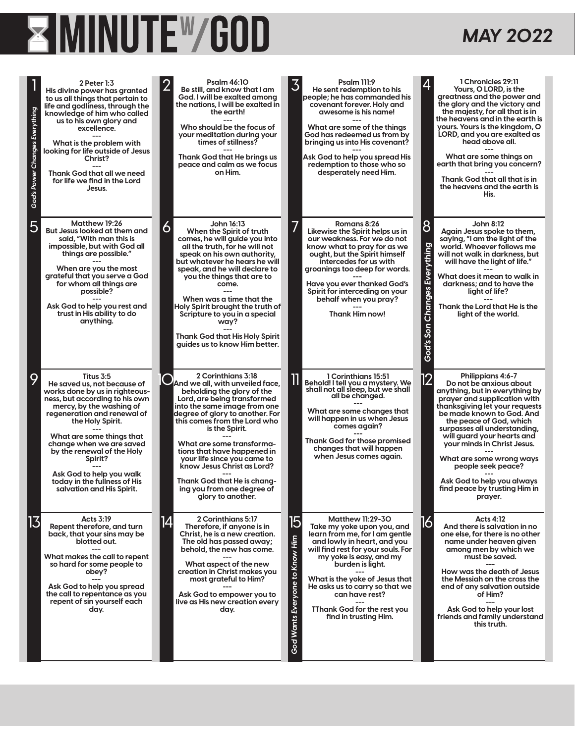## **EXAMINUTEW GOD**

## *MAY 2022*

| God's Power Changes Everything | 2 Peter 1:3<br>His divine power has granted<br>to us all things that pertain to<br>life and godliness, through the<br>knowledge of him who called<br>us to his own glory and<br>excellence.<br>What is the problem with<br>looking for life outside of Jesus<br>Christ?<br>Thank God that all we need<br>for life we find in the Lord<br>Jesus.                                        | <b>Psalm 46:10</b><br><b>Psalm 111:9</b><br>2<br>3<br>Be still, and know that I am<br>He sent redemption to his<br>God. I will be exalted amona<br>people; he has commanded his<br>the nations, I will be exalted in<br>covenant forever. Holy and<br>awesome is his name!<br>the earth!<br>Who should be the focus of<br>What are some of the things<br>your meditation during your<br>God has redeemed us from bv<br>times of stillness?<br>bringing us into His covenant?<br>Thank God that He brings us<br>Ask God to help you spread His<br>peace and calm as we focus<br>redemption to those who so<br>on Him.<br>desperately need Him.                                                                                                                     |                                                | 1 Chronicles 29:11<br>Yours, O LORD, is the<br>greatness and the power and<br>the glory and the victory and<br>the majesty, for all that is in<br>the heavens and in the earth is<br>yours. Yours is the kingdom, O<br>LORD, and you are exalted as<br>head above all.<br>What are some things on<br>earth that bring you concern?<br>Thank God that all that is in<br>the heavens and the earth is<br>His.                       |
|--------------------------------|----------------------------------------------------------------------------------------------------------------------------------------------------------------------------------------------------------------------------------------------------------------------------------------------------------------------------------------------------------------------------------------|-------------------------------------------------------------------------------------------------------------------------------------------------------------------------------------------------------------------------------------------------------------------------------------------------------------------------------------------------------------------------------------------------------------------------------------------------------------------------------------------------------------------------------------------------------------------------------------------------------------------------------------------------------------------------------------------------------------------------------------------------------------------|------------------------------------------------|-----------------------------------------------------------------------------------------------------------------------------------------------------------------------------------------------------------------------------------------------------------------------------------------------------------------------------------------------------------------------------------------------------------------------------------|
| 5                              | Matthew 19:26<br>But Jesus looked at them and<br>said, "With man this is<br>impossible, but with God all<br>things are possible."<br>When are you the most<br>arateful that you serve a God<br>for whom all things are<br>possible?<br>Ask God to help you rest and<br>trust in His ability to do<br>anything.                                                                         | John 16:13<br>Romans 8:26<br>6<br>Likewise the Spirit helps us in<br>When the Spirit of truth<br>comes, he will guide you into<br>our weakness. For we do not<br>all the truth, for he will not<br>know what to pray for as we<br>speak on his own authority,<br>ought, but the Spirit himself<br>but whatever he hears he will<br>intercedes for us with<br>speak, and he will declare to<br>groanings too deep for words.<br>you the things that are to<br>Have you ever thanked God's<br>come.<br>Spirit for interceding on your<br>When was a time that the<br>behalf when you pray?<br>Holy Spirit brought the truth of<br>Thank Him now!<br>Scripture to you in a special<br>way?<br><b>Thank God that His Holy Spirit</b><br>quides us to know Him better. | 8<br>Everything<br><b>Changes</b><br>God's Son | John 8:12<br>Again Jesus spoke to them,<br>saying, "I am the light of the<br>world. Whoever follows me<br>will not walk in darkness, but<br>will have the light of life."<br>What does it mean to walk in<br>darkness: and to have the<br>light of life?<br>Thank the Lord that He is the<br>light of the world.                                                                                                                  |
| 9                              | Titus 3:5<br>He saved us, not because of<br>works done by us in righteous-<br>ness, but according to his own<br>mercy, by the washing of<br>regeneration and renewal of<br>the Holy Spirit.<br>What are some things that<br>change when we are saved<br>by the renewal of the Holy<br>Spirit?<br>Ask God to help you walk<br>today in the fullness of His<br>salvation and His Spirit. | 2 Corinthians 3:18<br>1 Corinthians 15:51<br>And we all, with unveiled face,<br>Behold! I tell you a mystery. We<br>shall not all sleep, but we shall<br>beholding the glory of the<br>all be changed.<br>Lord, are being transformed<br>into the same image from one<br>What are some changes that<br>degree of glory to another. For<br>will happen in us when Jesus<br>this comes from the Lord who<br>comes again?<br>is the Spirit.<br><b>Thank God for those promised</b><br>What are some transforma-<br>changes that will happen<br>tions that have happened in<br>when Jesus comes again.<br>your life since you came to<br>know Jesus Christ as Lord?<br>Thank God that He is chang-<br>ing you from one degree of<br>glory to another.                 | 12                                             | Philippians 4:6-7<br>Do not be anxious about<br>anything, but in everything by<br>prayer and supplication with<br>thanksgiving let your requests<br>be made known to God. And<br>the peace of God, which<br>surpasses all understanding,<br>will guard your hearts and<br>your minds in Christ Jesus.<br>What are some wrong ways<br>people seek peace?<br>Ask God to help you always<br>find peace by trusting Him in<br>prayer. |
| 13                             | Acts 3:19<br>Repent therefore, and turn<br>back, that your sins may be<br>blotted out.<br>What makes the call to repent<br>so hard for some people to<br>obey?<br>Ask God to help you spread<br>the call to repentance as you<br>repent of sin yourself each<br>day.                                                                                                                   | 2 Corinthians 5:17<br>$\overline{5}$<br><b>Matthew 11:29-30</b><br>14<br>Therefore, if anyone is in<br>Take my yoke upon you, and<br>Christ, he is a new creation.<br>learn from me, for I am gentle<br>God Wants Everyone to Know Him<br>The old has passed away;<br>and lowly in heart, and you<br>will find rest for your souls. For<br>behold, the new has come.<br>my yoke is easy, and my<br>What aspect of the new<br>burden is light.<br>creation in Christ makes you<br>most grateful to Him?<br>What is the yoke of Jesus that<br>He asks us to carry so that we<br>can have rest?<br>Ask God to empower you to<br>live as His new creation every<br>TThank God for the rest you<br>day.<br>find in trusting Him.                                       | 16                                             | <b>Acts 4:12</b><br>And there is salvation in no<br>one else, for there is no other<br>name under heaven given<br>among men by which we<br>must be saved.<br>How was the death of Jesus<br>the Messiah on the cross the<br>end of any salvation outside<br>of Him?<br>Ask God to help your lost<br>friends and family understand<br>this truth.                                                                                   |